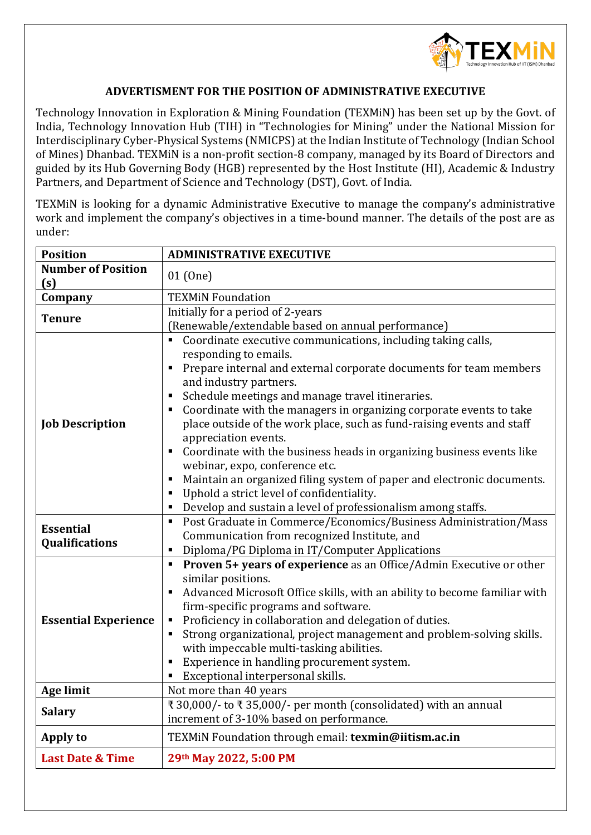

## **ADVERTISMENT FOR THE POSITION OF ADMINISTRATIVE EXECUTIVE**

Technology Innovation in Exploration & Mining Foundation (TEXMiN) has been set up by the Govt. of India, Technology Innovation Hub (TIH) in "Technologies for Mining" under the National Mission for Interdisciplinary Cyber-Physical Systems (NMICPS) at the Indian Institute of Technology (Indian School of Mines) Dhanbad. TEXMiN is a non-profit section-8 company, managed by its Board of Directors and guided by its Hub Governing Body (HGB) represented by the Host Institute (HI), Academic & Industry Partners, and Department of Science and Technology (DST), Govt. of India.

TEXMiN is looking for a dynamic Administrative Executive to manage the company's administrative work and implement the company's objectives in a time-bound manner. The details of the post are as under:

| <b>Position</b>                           | <b>ADMINISTRATIVE EXECUTIVE</b>                                                                                                                                                                                                                                                                                                                                                                                                                                                                                                                                                                                                                                                                                                                                                                        |
|-------------------------------------------|--------------------------------------------------------------------------------------------------------------------------------------------------------------------------------------------------------------------------------------------------------------------------------------------------------------------------------------------------------------------------------------------------------------------------------------------------------------------------------------------------------------------------------------------------------------------------------------------------------------------------------------------------------------------------------------------------------------------------------------------------------------------------------------------------------|
| <b>Number of Position</b><br>(s)          | 01 (One)                                                                                                                                                                                                                                                                                                                                                                                                                                                                                                                                                                                                                                                                                                                                                                                               |
| Company                                   | <b>TEXMIN Foundation</b>                                                                                                                                                                                                                                                                                                                                                                                                                                                                                                                                                                                                                                                                                                                                                                               |
| <b>Tenure</b>                             | Initially for a period of 2-years<br>(Renewable/extendable based on annual performance)                                                                                                                                                                                                                                                                                                                                                                                                                                                                                                                                                                                                                                                                                                                |
| <b>Job Description</b>                    | Coordinate executive communications, including taking calls,<br>$\blacksquare$<br>responding to emails.<br>Prepare internal and external corporate documents for team members<br>and industry partners.<br>Schedule meetings and manage travel itineraries.<br>$\blacksquare$<br>Coordinate with the managers in organizing corporate events to take<br>п<br>place outside of the work place, such as fund-raising events and staff<br>appreciation events.<br>Coordinate with the business heads in organizing business events like<br>$\blacksquare$<br>webinar, expo, conference etc.<br>Maintain an organized filing system of paper and electronic documents.<br>п<br>Uphold a strict level of confidentiality.<br>$\blacksquare$<br>Develop and sustain a level of professionalism among staffs. |
| <b>Essential</b><br><b>Qualifications</b> | Post Graduate in Commerce/Economics/Business Administration/Mass<br>$\blacksquare$<br>Communication from recognized Institute, and<br>Diploma/PG Diploma in IT/Computer Applications<br>п                                                                                                                                                                                                                                                                                                                                                                                                                                                                                                                                                                                                              |
| <b>Essential Experience</b>               | Proven 5+ years of experience as an Office/Admin Executive or other<br>Ξ<br>similar positions.<br>Advanced Microsoft Office skills, with an ability to become familiar with<br>$\blacksquare$<br>firm-specific programs and software.<br>Proficiency in collaboration and delegation of duties.<br>п<br>Strong organizational, project management and problem-solving skills.<br>$\blacksquare$<br>with impeccable multi-tasking abilities.<br>Experience in handling procurement system.<br>п<br>Exceptional interpersonal skills.                                                                                                                                                                                                                                                                    |
| Age limit                                 | Not more than 40 years                                                                                                                                                                                                                                                                                                                                                                                                                                                                                                                                                                                                                                                                                                                                                                                 |
| <b>Salary</b>                             | ₹ 30,000/- to ₹ 35,000/- per month (consolidated) with an annual<br>increment of 3-10% based on performance.                                                                                                                                                                                                                                                                                                                                                                                                                                                                                                                                                                                                                                                                                           |
| Apply to                                  | TEXMIN Foundation through email: texmin@iitism.ac.in                                                                                                                                                                                                                                                                                                                                                                                                                                                                                                                                                                                                                                                                                                                                                   |
| <b>Last Date &amp; Time</b>               | 29th May 2022, 5:00 PM                                                                                                                                                                                                                                                                                                                                                                                                                                                                                                                                                                                                                                                                                                                                                                                 |